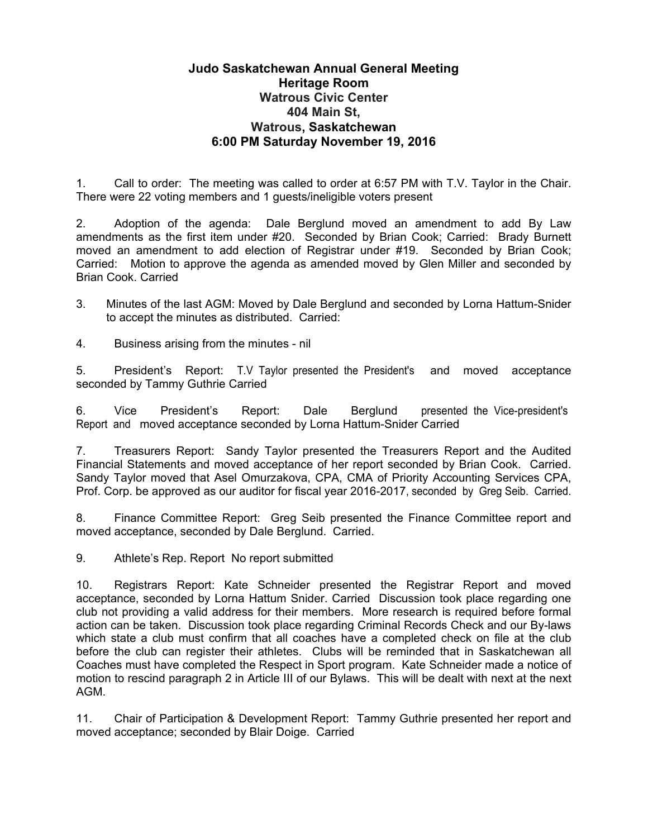## **Judo Saskatchewan Annual General Meeting Heritage Room Watrous Civic Center 404 Main St, Watrous, Saskatchewan 6:00 PM Saturday November 19, 2016**

1. Call to order: The meeting was called to order at 6:57 PM with T.V. Taylor in the Chair. There were 22 voting members and 1 guests/ineligible voters present

2. Adoption of the agenda: Dale Berglund moved an amendment to add By Law amendments as the first item under #20. Seconded by Brian Cook; Carried: Brady Burnett moved an amendment to add election of Registrar under #19. Seconded by Brian Cook; Carried: Motion to approve the agenda as amended moved by Glen Miller and seconded by Brian Cook. Carried

3. Minutes of the last AGM: Moved by Dale Berglund and seconded by Lorna Hattum-Snider to accept the minutes as distributed. Carried:

4. Business arising from the minutes - nil

5. President's Report: T.V Taylor presented the President's and moved acceptance seconded by Tammy Guthrie Carried

6. Vice President's Report: Dale Berglund presented the Vice-president's Report and moved acceptance seconded by Lorna Hattum-Snider Carried

7. Treasurers Report: Sandy Taylor presented the Treasurers Report and the Audited Financial Statements and moved acceptance of her report seconded by Brian Cook. Carried. Sandy Taylor moved that Asel Omurzakova, CPA, CMA of Priority Accounting Services CPA, Prof. Corp. be approved as our auditor for fiscal year 2016-2017, seconded by Greg Seib. Carried.

8. Finance Committee Report: Greg Seib presented the Finance Committee report and moved acceptance, seconded by Dale Berglund. Carried.

9. Athlete's Rep. Report No report submitted

10. Registrars Report: Kate Schneider presented the Registrar Report and moved acceptance, seconded by Lorna Hattum Snider. Carried Discussion took place regarding one club not providing a valid address for their members. More research is required before formal action can be taken. Discussion took place regarding Criminal Records Check and our By-laws which state a club must confirm that all coaches have a completed check on file at the club before the club can register their athletes. Clubs will be reminded that in Saskatchewan all Coaches must have completed the Respect in Sport program. Kate Schneider made a notice of motion to rescind paragraph 2 in Article III of our Bylaws. This will be dealt with next at the next AGM.

11. Chair of Participation & Development Report: Tammy Guthrie presented her report and moved acceptance; seconded by Blair Doige. Carried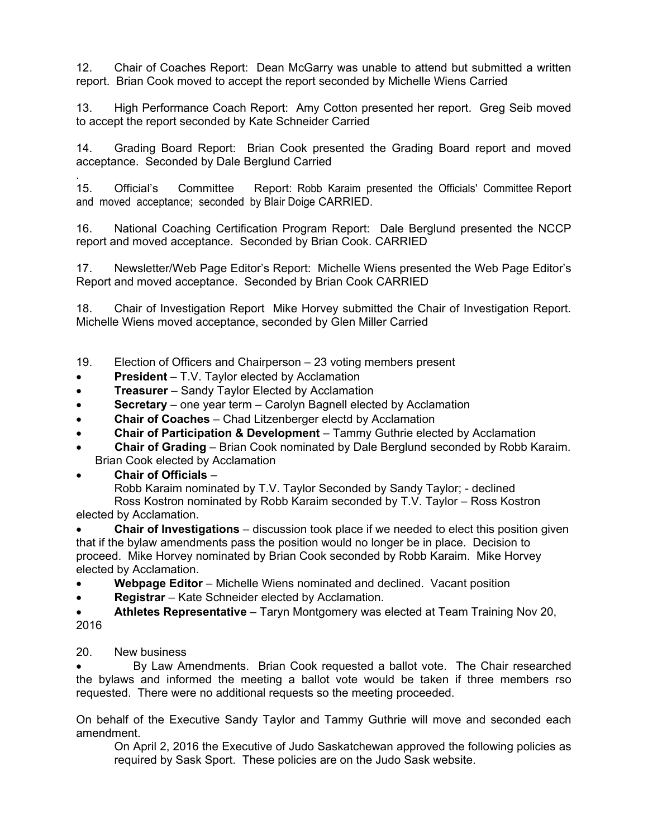12. Chair of Coaches Report: Dean McGarry was unable to attend but submitted a written report. Brian Cook moved to accept the report seconded by Michelle Wiens Carried

13. High Performance Coach Report: Amy Cotton presented her report. Greg Seib moved to accept the report seconded by Kate Schneider Carried

14. Grading Board Report: Brian Cook presented the Grading Board report and moved acceptance. Seconded by Dale Berglund Carried

. 15. Official's Committee Report: Robb Karaim presented the Officials' Committee Report and moved acceptance; seconded by Blair Doige CARRIED.

16. National Coaching Certification Program Report: Dale Berglund presented the NCCP report and moved acceptance. Seconded by Brian Cook. CARRIED

17. Newsletter/Web Page Editor's Report: Michelle Wiens presented the Web Page Editor's Report and moved acceptance. Seconded by Brian Cook CARRIED

18. Chair of Investigation Report Mike Horvey submitted the Chair of Investigation Report. Michelle Wiens moved acceptance, seconded by Glen Miller Carried

19. Election of Officers and Chairperson – 23 voting members present

- **President** T.V. Taylor elected by Acclamation
- **Treasurer** Sandy Taylor Elected by Acclamation
- **Secretary** one year term Carolyn Bagnell elected by Acclamation
- **Chair of Coaches**  Chad Litzenberger electd by Acclamation
- **Chair of Participation & Development** Tammy Guthrie elected by Acclamation
- **Chair of Grading** Brian Cook nominated by Dale Berglund seconded by Robb Karaim. Brian Cook elected by Acclamation
- **Chair of Officials** –

Robb Karaim nominated by T.V. Taylor Seconded by Sandy Taylor; - declined Ross Kostron nominated by Robb Karaim seconded by T.V. Taylor – Ross Kostron elected by Acclamation.

 **Chair of Investigations** – discussion took place if we needed to elect this position given that if the bylaw amendments pass the position would no longer be in place. Decision to proceed. Mike Horvey nominated by Brian Cook seconded by Robb Karaim. Mike Horvey elected by Acclamation.

- Webpage Editor Michelle Wiens nominated and declined. Vacant position
- **Registrar** Kate Schneider elected by Acclamation.

 **Athletes Representative** – Taryn Montgomery was elected at Team Training Nov 20, 2016

## 20. New business

 By Law Amendments. Brian Cook requested a ballot vote. The Chair researched the bylaws and informed the meeting a ballot vote would be taken if three members rso requested. There were no additional requests so the meeting proceeded.

On behalf of the Executive Sandy Taylor and Tammy Guthrie will move and seconded each amendment.

On April 2, 2016 the Executive of Judo Saskatchewan approved the following policies as required by Sask Sport. These policies are on the Judo Sask website.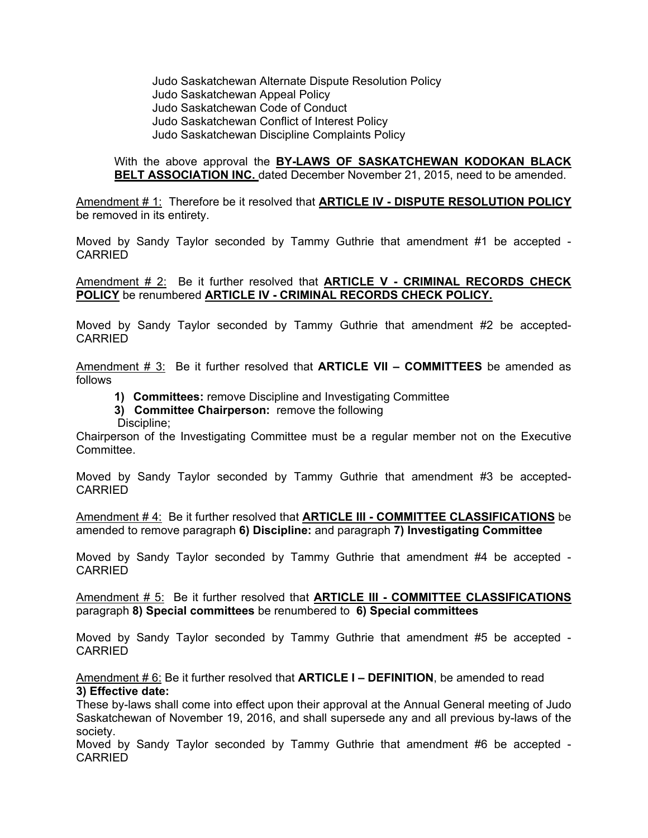Judo Saskatchewan Alternate Dispute Resolution Policy Judo Saskatchewan Appeal Policy Judo Saskatchewan Code of Conduct Judo Saskatchewan Conflict of Interest Policy Judo Saskatchewan Discipline Complaints Policy

## With the above approval the **BY-LAWS OF SASKATCHEWAN KODOKAN BLACK BELT ASSOCIATION INC.** dated December November 21, 2015, need to be amended.

Amendment # 1: Therefore be it resolved that **ARTICLE IV - DISPUTE RESOLUTION POLICY** be removed in its entirety.

Moved by Sandy Taylor seconded by Tammy Guthrie that amendment #1 be accepted - CARRIED

Amendment # 2: Be it further resolved that **ARTICLE V - CRIMINAL RECORDS CHECK POLICY** be renumbered **ARTICLE IV - CRIMINAL RECORDS CHECK POLICY.** 

Moved by Sandy Taylor seconded by Tammy Guthrie that amendment #2 be accepted-CARRIED

Amendment # 3: Be it further resolved that **ARTICLE VII – COMMITTEES** be amended as follows

- **1) Committees:** remove Discipline and Investigating Committee
- **3) Committee Chairperson:** remove the following
- Discipline;

Chairperson of the Investigating Committee must be a regular member not on the Executive **Committee.** 

Moved by Sandy Taylor seconded by Tammy Guthrie that amendment #3 be accepted-**CARRIED** 

Amendment # 4: Be it further resolved that **ARTICLE III - COMMITTEE CLASSIFICATIONS** be amended to remove paragraph **6) Discipline:** and paragraph **7) Investigating Committee** 

Moved by Sandy Taylor seconded by Tammy Guthrie that amendment #4 be accepted - CARRIED

Amendment # 5: Be it further resolved that **ARTICLE III - COMMITTEE CLASSIFICATIONS** paragraph **8) Special committees** be renumbered to **6) Special committees** 

Moved by Sandy Taylor seconded by Tammy Guthrie that amendment #5 be accepted - CARRIED

Amendment # 6: Be it further resolved that **ARTICLE I – DEFINITION**, be amended to read **3) Effective date:** 

These by-laws shall come into effect upon their approval at the Annual General meeting of Judo Saskatchewan of November 19, 2016, and shall supersede any and all previous by-laws of the society.

Moved by Sandy Taylor seconded by Tammy Guthrie that amendment #6 be accepted - CARRIED